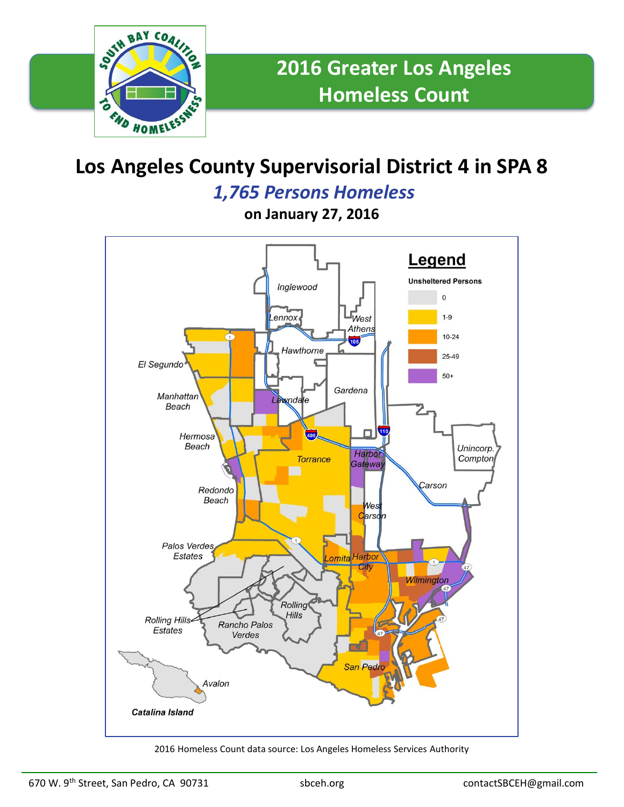

# **Los Angeles County Supervisorial District 4 in SPA 8**

### *1,765 Persons Homeless*

**on January 27, 2016**



2016 Homeless Count data source: Los Angeles Homeless Services Authority